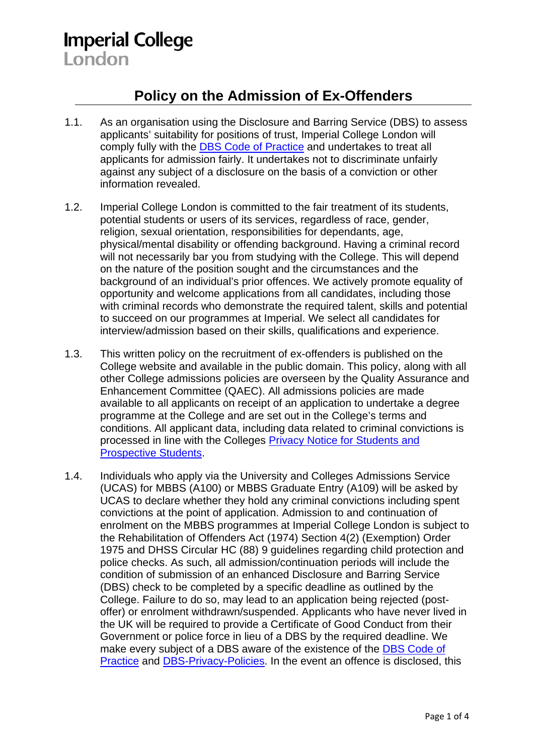## **Imperial College** London

## **Policy on the Admission of Ex-Offenders**

- 1.1. As an organisation using the Disclosure and Barring Service (DBS) to assess applicants' suitability for positions of trust, Imperial College London will comply fully with the [DBS Code of Practice](https://www.gov.uk/government/publications/dbs-code-of-practice) and undertakes to treat all applicants for admission fairly. It undertakes not to discriminate unfairly against any subject of a disclosure on the basis of a conviction or other information revealed.
- 1.2. Imperial College London is committed to the fair treatment of its students, potential students or users of its services, regardless of race, gender, religion, sexual orientation, responsibilities for dependants, age, physical/mental disability or offending background. Having a criminal record will not necessarily bar you from studying with the College. This will depend on the nature of the position sought and the circumstances and the background of an individual's prior offences. We actively promote equality of opportunity and welcome applications from all candidates, including those with criminal records who demonstrate the required talent, skills and potential to succeed on our programmes at Imperial. We select all candidates for interview/admission based on their skills, qualifications and experience.
- 1.3. This written policy on the recruitment of ex-offenders is published on the College website and available in the public domain. This policy, along with all other College admissions policies are overseen by the Quality Assurance and Enhancement Committee (QAEC). All admissions policies are made available to all applicants on receipt of an application to undertake a degree programme at the College and are set out in the College's terms and conditions. All applicant data, including data related to criminal convictions is processed in line with the Colleges [Privacy Notice for Students and](https://www.imperial.ac.uk/media/imperial-college/administration-and-support-services/registry/academic-governance/public/academic-policy/admissions/Privacy-notice.pdf)  [Prospective Students.](https://www.imperial.ac.uk/media/imperial-college/administration-and-support-services/registry/academic-governance/public/academic-policy/admissions/Privacy-notice.pdf)
- 1.4. Individuals who apply via the University and Colleges Admissions Service (UCAS) for MBBS (A100) or MBBS Graduate Entry (A109) will be asked by UCAS to declare whether they hold any criminal convictions including spent convictions at the point of application. Admission to and continuation of enrolment on the MBBS programmes at Imperial College London is subject to the Rehabilitation of Offenders Act (1974) Section 4(2) (Exemption) Order 1975 and DHSS Circular HC (88) 9 guidelines regarding child protection and police checks. As such, all admission/continuation periods will include the condition of submission of an enhanced Disclosure and Barring Service (DBS) check to be completed by a specific deadline as outlined by the College. Failure to do so, may lead to an application being rejected (postoffer) or enrolment withdrawn/suspended. Applicants who have never lived in the UK will be required to provide a Certificate of Good Conduct from their Government or police force in lieu of a DBS by the required deadline. We make every subject of a DBS aware of the existence of the [DBS Code of](https://www.gov.uk/government/publications/dbs-code-of-practice)  [Practice](https://www.gov.uk/government/publications/dbs-code-of-practice) and [DBS-Privacy-Policies.](https://www.gov.uk/government/publications/dbs-privacy-policies) In the event an offence is disclosed, this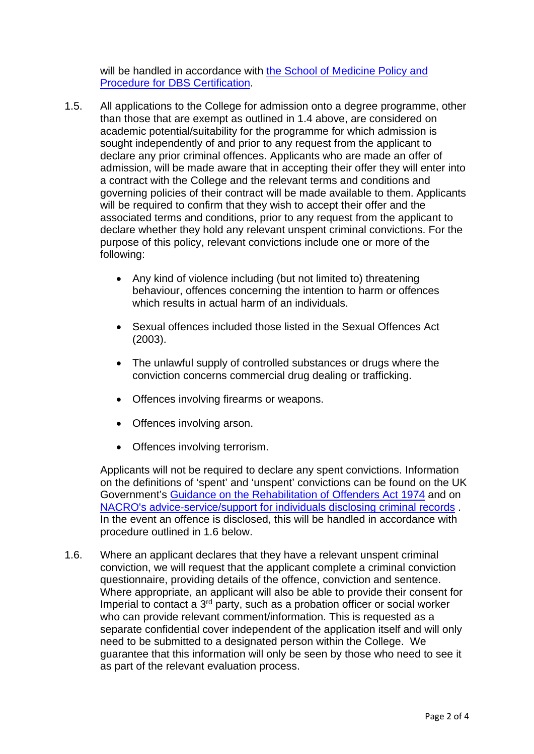will be handled in accordance with the School of Medicine Policy and [Procedure for DBS Certification.](https://www.imperial.ac.uk/media/imperial-college/study/public/Disclosure-and-Barring-Service-Certification-Policy.pdf)

- 1.5. All applications to the College for admission onto a degree programme, other than those that are exempt as outlined in 1.4 above, are considered on academic potential/suitability for the programme for which admission is sought independently of and prior to any request from the applicant to declare any prior criminal offences. Applicants who are made an offer of admission, will be made aware that in accepting their offer they will enter into a contract with the College and the relevant terms and conditions and governing policies of their contract will be made available to them. Applicants will be required to confirm that they wish to accept their offer and the associated terms and conditions, prior to any request from the applicant to declare whether they hold any relevant unspent criminal convictions. For the purpose of this policy, relevant convictions include one or more of the following:
	- Any kind of violence including (but not limited to) threatening behaviour, offences concerning the intention to harm or offences which results in actual harm of an individuals.
	- Sexual offences included those listed in the Sexual Offences Act (2003).
	- The unlawful supply of controlled substances or drugs where the conviction concerns commercial drug dealing or trafficking.
	- Offences involving firearms or weapons.
	- Offences involving arson.
	- Offences involving terrorism.

Applicants will not be required to declare any spent convictions. Information on the definitions of 'spent' and 'unspent' convictions can be found on the UK Government's [Guidance on the Rehabilitation of Offenders Act 1974](https://assets.publishing.service.gov.uk/government/uploads/system/uploads/attachment_data/file/299916/rehabilitation-of-offenders-guidance.pdf) and on [NACRO's advice-service/support for individuals disclosing criminal records](https://www.nacro.org.uk/resettlement-advice-service/support-for-individuals/disclosing-criminal-records/rehabilitation-offenders-act/#ro) . In the event an offence is disclosed, this will be handled in accordance with procedure outlined in 1.6 below.

1.6. Where an applicant declares that they have a relevant unspent criminal conviction, we will request that the applicant complete a criminal conviction questionnaire, providing details of the offence, conviction and sentence. Where appropriate, an applicant will also be able to provide their consent for Imperial to contact a 3<sup>rd</sup> party, such as a probation officer or social worker who can provide relevant comment/information. This is requested as a separate confidential cover independent of the application itself and will only need to be submitted to a designated person within the College. We guarantee that this information will only be seen by those who need to see it as part of the relevant evaluation process.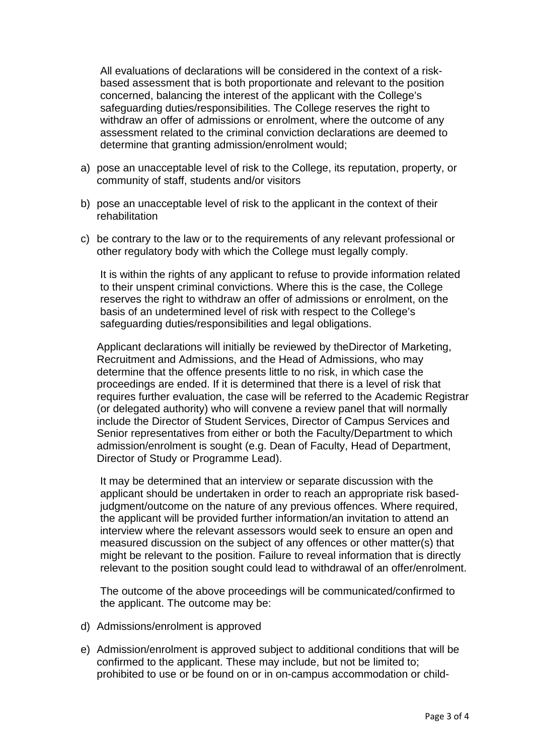All evaluations of declarations will be considered in the context of a riskbased assessment that is both proportionate and relevant to the position concerned, balancing the interest of the applicant with the College's safeguarding duties/responsibilities. The College reserves the right to withdraw an offer of admissions or enrolment, where the outcome of any assessment related to the criminal conviction declarations are deemed to determine that granting admission/enrolment would;

- a) pose an unacceptable level of risk to the College, its reputation, property, or community of staff, students and/or visitors
- b) pose an unacceptable level of risk to the applicant in the context of their rehabilitation
- c) be contrary to the law or to the requirements of any relevant professional or other regulatory body with which the College must legally comply.

It is within the rights of any applicant to refuse to provide information related to their unspent criminal convictions. Where this is the case, the College reserves the right to withdraw an offer of admissions or enrolment, on the basis of an undetermined level of risk with respect to the College's safeguarding duties/responsibilities and legal obligations.

Applicant declarations will initially be reviewed by theDirector of Marketing, Recruitment and Admissions, and the Head of Admissions, who may determine that the offence presents little to no risk, in which case the proceedings are ended. If it is determined that there is a level of risk that requires further evaluation, the case will be referred to the Academic Registrar (or delegated authority) who will convene a review panel that will normally include the Director of Student Services, Director of Campus Services and Senior representatives from either or both the Faculty/Department to which admission/enrolment is sought (e.g. Dean of Faculty, Head of Department, Director of Study or Programme Lead).

It may be determined that an interview or separate discussion with the applicant should be undertaken in order to reach an appropriate risk basedjudgment/outcome on the nature of any previous offences. Where required, the applicant will be provided further information/an invitation to attend an interview where the relevant assessors would seek to ensure an open and measured discussion on the subject of any offences or other matter(s) that might be relevant to the position. Failure to reveal information that is directly relevant to the position sought could lead to withdrawal of an offer/enrolment.

The outcome of the above proceedings will be communicated/confirmed to the applicant. The outcome may be:

- d) Admissions/enrolment is approved
- e) Admission/enrolment is approved subject to additional conditions that will be confirmed to the applicant. These may include, but not be limited to; prohibited to use or be found on or in on-campus accommodation or child-